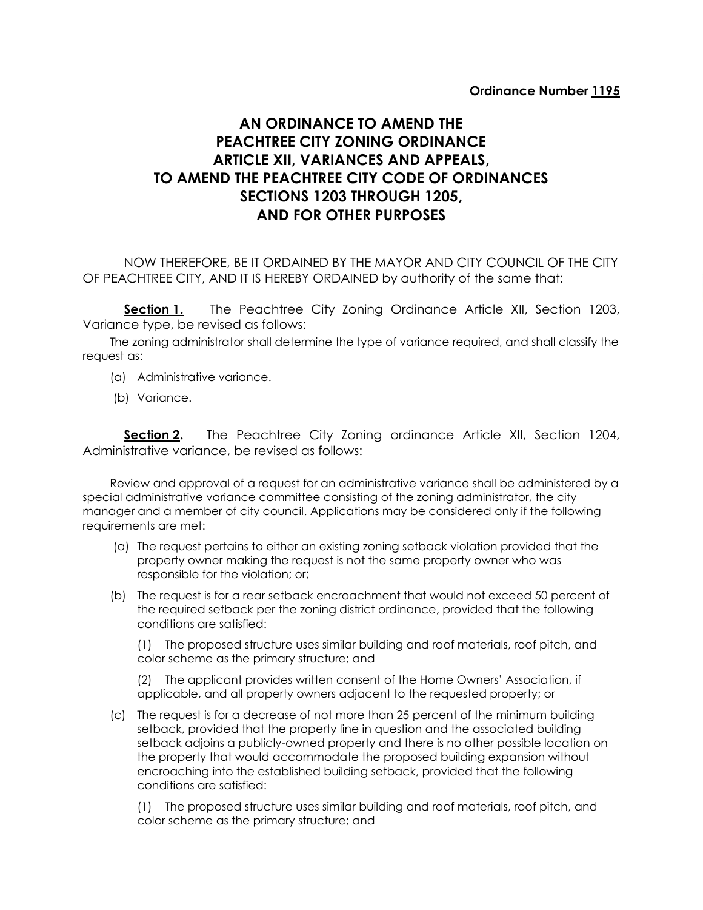## **AN ORDINANCE TO AMEND THE PEACHTREE CITY ZONING ORDINANCE ARTICLE XII, VARIANCES AND APPEALS, TO AMEND THE PEACHTREE CITY CODE OF ORDINANCES SECTIONS 1203 THROUGH 1205, AND FOR OTHER PURPOSES**

NOW THEREFORE, BE IT ORDAINED BY THE MAYOR AND CITY COUNCIL OF THE CITY OF PEACHTREE CITY, AND IT IS HEREBY ORDAINED by authority of the same that:

**Section 1.** The Peachtree City Zoning Ordinance Article XII, Section 1203, Variance type, be revised as follows:

The zoning administrator shall determine the type of variance required, and shall classify the request as:

- (a) Administrative variance.
- (b) Variance.

**Section 2.** The Peachtree City Zoning ordinance Article XII, Section 1204, Administrative variance, be revised as follows:

Review and approval of a request for an administrative variance shall be administered by a special administrative variance committee consisting of the zoning administrator, the city manager and a member of city council. Applications may be considered only if the following requirements are met:

- (a) The request pertains to either an existing zoning setback violation provided that the property owner making the request is not the same property owner who was responsible for the violation; or;
- (b) The request is for a rear setback encroachment that would not exceed 50 percent of the required setback per the zoning district ordinance, provided that the following conditions are satisfied:

(1) The proposed structure uses similar building and roof materials, roof pitch, and color scheme as the primary structure; and

(2) The applicant provides written consent of the Home Owners' Association, if applicable, and all property owners adjacent to the requested property; or

(c) The request is for a decrease of not more than 25 percent of the minimum building setback, provided that the property line in question and the associated building setback adjoins a publicly-owned property and there is no other possible location on the property that would accommodate the proposed building expansion without encroaching into the established building setback, provided that the following conditions are satisfied:

(1) The proposed structure uses similar building and roof materials, roof pitch, and color scheme as the primary structure; and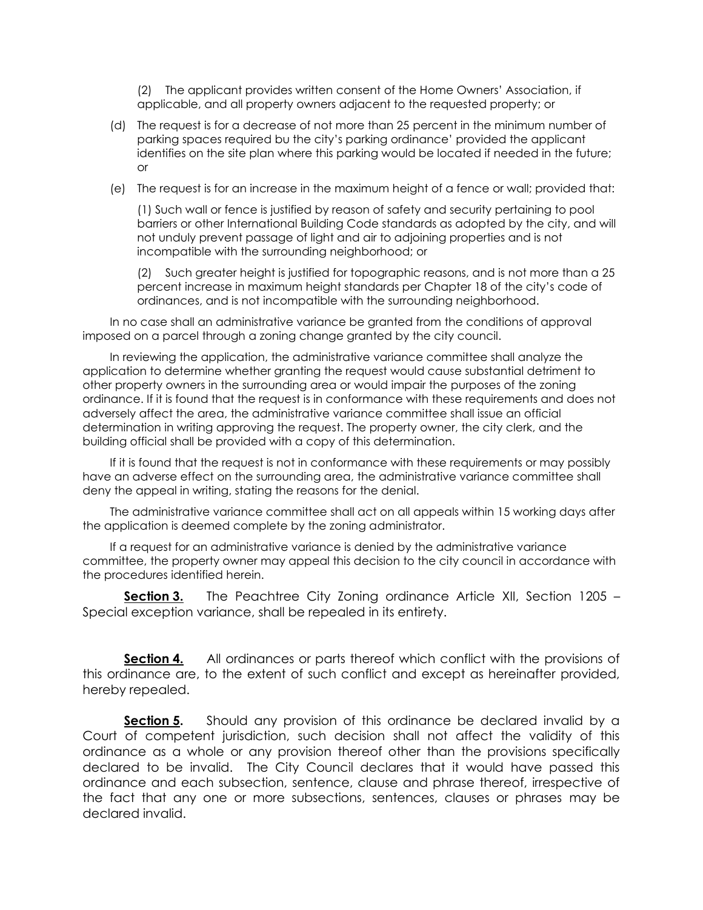(2) The applicant provides written consent of the Home Owners' Association, if applicable, and all property owners adjacent to the requested property; or

- (d) The request is for a decrease of not more than 25 percent in the minimum number of parking spaces required bu the city's parking ordinance' provided the applicant identifies on the site plan where this parking would be located if needed in the future; or
- (e) The request is for an increase in the maximum height of a fence or wall; provided that:

(1) Such wall or fence is justified by reason of safety and security pertaining to pool barriers or other International Building Code standards as adopted by the city, and will not unduly prevent passage of light and air to adjoining properties and is not incompatible with the surrounding neighborhood; or

(2) Such greater height is justified for topographic reasons, and is not more than a 25 percent increase in maximum height standards per Chapter 18 of the city's code of ordinances, and is not incompatible with the surrounding neighborhood.

In no case shall an administrative variance be granted from the conditions of approval imposed on a parcel through a zoning change granted by the city council.

In reviewing the application, the administrative variance committee shall analyze the application to determine whether granting the request would cause substantial detriment to other property owners in the surrounding area or would impair the purposes of the zoning ordinance. If it is found that the request is in conformance with these requirements and does not adversely affect the area, the administrative variance committee shall issue an official determination in writing approving the request. The property owner, the city clerk, and the building official shall be provided with a copy of this determination.

If it is found that the request is not in conformance with these requirements or may possibly have an adverse effect on the surrounding area, the administrative variance committee shall deny the appeal in writing, stating the reasons for the denial.

The administrative variance committee shall act on all appeals within 15 working days after the application is deemed complete by the zoning administrator.

If a request for an administrative variance is denied by the administrative variance committee, the property owner may appeal this decision to the city council in accordance with the procedures identified herein.

**Section 3.** The Peachtree City Zoning ordinance Article XII, Section 1205 – Special exception variance, shall be repealed in its entirety.

**Section 4.** All ordinances or parts thereof which conflict with the provisions of this ordinance are, to the extent of such conflict and except as hereinafter provided, hereby repealed.

**Section 5.** Should any provision of this ordinance be declared invalid by a Court of competent jurisdiction, such decision shall not affect the validity of this ordinance as a whole or any provision thereof other than the provisions specifically declared to be invalid. The City Council declares that it would have passed this ordinance and each subsection, sentence, clause and phrase thereof, irrespective of the fact that any one or more subsections, sentences, clauses or phrases may be declared invalid.